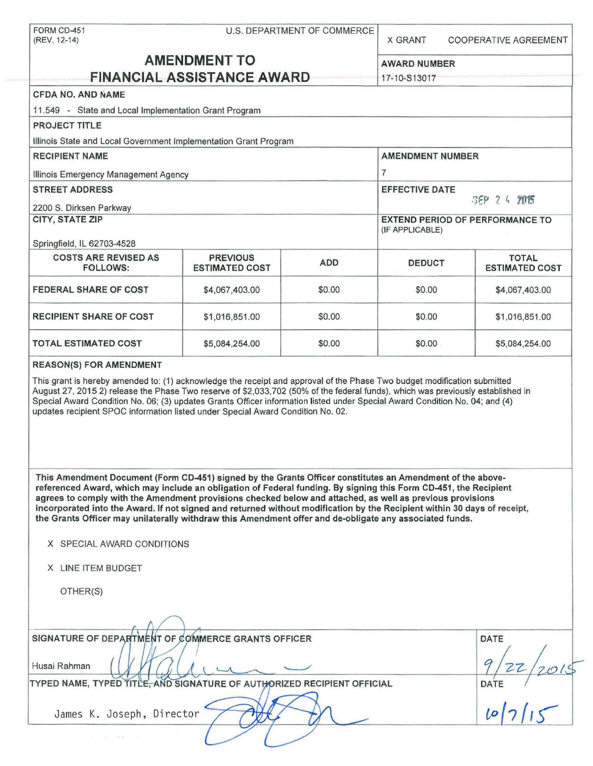| FORM CD-451<br>(REV. 12-14)                                                                                                                                                                                                                                                                                                                                                                                                                                                                                                                                                                                                                                          |                                          | U.S. DEPARTMENT OF COMMERCE | <b>X GRANT</b>                         | <b>COOPERATIVE AGREEMENT</b>          |  |  |
|----------------------------------------------------------------------------------------------------------------------------------------------------------------------------------------------------------------------------------------------------------------------------------------------------------------------------------------------------------------------------------------------------------------------------------------------------------------------------------------------------------------------------------------------------------------------------------------------------------------------------------------------------------------------|------------------------------------------|-----------------------------|----------------------------------------|---------------------------------------|--|--|
| <b>AMENDMENT TO</b>                                                                                                                                                                                                                                                                                                                                                                                                                                                                                                                                                                                                                                                  |                                          |                             | <b>AWARD NUMBER</b>                    |                                       |  |  |
|                                                                                                                                                                                                                                                                                                                                                                                                                                                                                                                                                                                                                                                                      | <b>FINANCIAL ASSISTANCE AWARD</b>        |                             | 17-10-S13017                           |                                       |  |  |
| <b>CFDA NO. AND NAME</b>                                                                                                                                                                                                                                                                                                                                                                                                                                                                                                                                                                                                                                             |                                          |                             |                                        |                                       |  |  |
| 11.549 - State and Local Implementation Grant Program                                                                                                                                                                                                                                                                                                                                                                                                                                                                                                                                                                                                                |                                          |                             |                                        |                                       |  |  |
| <b>PROJECT TITLE</b>                                                                                                                                                                                                                                                                                                                                                                                                                                                                                                                                                                                                                                                 |                                          |                             |                                        |                                       |  |  |
| Illinois State and Local Government Implementation Grant Program                                                                                                                                                                                                                                                                                                                                                                                                                                                                                                                                                                                                     |                                          |                             |                                        |                                       |  |  |
| <b>RECIPIENT NAME</b>                                                                                                                                                                                                                                                                                                                                                                                                                                                                                                                                                                                                                                                |                                          |                             | <b>AMENDMENT NUMBER</b>                |                                       |  |  |
| Illinois Emergency Management Agency                                                                                                                                                                                                                                                                                                                                                                                                                                                                                                                                                                                                                                 |                                          |                             | $\overline{7}$                         |                                       |  |  |
| <b>STREET ADDRESS</b>                                                                                                                                                                                                                                                                                                                                                                                                                                                                                                                                                                                                                                                |                                          |                             | <b>EFFECTIVE DATE</b>                  |                                       |  |  |
| 2200 S. Dirksen Parkway                                                                                                                                                                                                                                                                                                                                                                                                                                                                                                                                                                                                                                              |                                          |                             |                                        | SEP 2 4 2015                          |  |  |
| CITY, STATE ZIP                                                                                                                                                                                                                                                                                                                                                                                                                                                                                                                                                                                                                                                      |                                          |                             | <b>EXTEND PERIOD OF PERFORMANCE TO</b> |                                       |  |  |
|                                                                                                                                                                                                                                                                                                                                                                                                                                                                                                                                                                                                                                                                      |                                          |                             | (IF APPLICABLE)                        |                                       |  |  |
| Springfield, IL 62703-4528                                                                                                                                                                                                                                                                                                                                                                                                                                                                                                                                                                                                                                           |                                          |                             |                                        |                                       |  |  |
| <b>COSTS ARE REVISED AS</b><br><b>FOLLOWS:</b>                                                                                                                                                                                                                                                                                                                                                                                                                                                                                                                                                                                                                       | <b>PREVIOUS</b><br><b>ESTIMATED COST</b> | <b>ADD</b>                  | <b>DEDUCT</b>                          | <b>TOTAL</b><br><b>ESTIMATED COST</b> |  |  |
| <b>FEDERAL SHARE OF COST</b>                                                                                                                                                                                                                                                                                                                                                                                                                                                                                                                                                                                                                                         | \$4,067,403.00                           | \$0.00                      | \$0.00                                 | \$4,067,403.00                        |  |  |
| <b>RECIPIENT SHARE OF COST</b>                                                                                                                                                                                                                                                                                                                                                                                                                                                                                                                                                                                                                                       | \$1,016,851.00                           | \$0.00                      | \$0.00                                 | \$1,016,851.00                        |  |  |
| <b>TOTAL ESTIMATED COST</b>                                                                                                                                                                                                                                                                                                                                                                                                                                                                                                                                                                                                                                          | \$5,084,254.00                           | \$0.00                      | \$0.00                                 | \$5,084,254.00                        |  |  |
| updates recipient SPOC information listed under Special Award Condition No. 02.<br>This Amendment Document (Form CD-451) signed by the Grants Officer constitutes an Amendment of the above-<br>referenced Award, which may include an obligation of Federal funding. By signing this Form CD-451, the Recipient<br>agrees to comply with the Amendment provisions checked below and attached, as well as previous provisions<br>incorporated into the Award. If not signed and returned without modification by the Recipient within 30 days of receipt,<br>the Grants Officer may unilaterally withdraw this Amendment offer and de-obligate any associated funds. |                                          |                             |                                        |                                       |  |  |
| X SPECIAL AWARD CONDITIONS                                                                                                                                                                                                                                                                                                                                                                                                                                                                                                                                                                                                                                           |                                          |                             |                                        |                                       |  |  |
| X LINE ITEM BUDGET                                                                                                                                                                                                                                                                                                                                                                                                                                                                                                                                                                                                                                                   |                                          |                             |                                        |                                       |  |  |
| OTHER(S)                                                                                                                                                                                                                                                                                                                                                                                                                                                                                                                                                                                                                                                             |                                          |                             |                                        |                                       |  |  |
|                                                                                                                                                                                                                                                                                                                                                                                                                                                                                                                                                                                                                                                                      |                                          |                             |                                        |                                       |  |  |
| SIGNATURE OF DEPARTMENT OF COMMERCE GRANTS OFFICER<br>Husai Rahman<br>TYPED NAME, TYPED TITLE, AND SIGNATURE OF AUTHORIZED RECIPIENT OFFICIAL                                                                                                                                                                                                                                                                                                                                                                                                                                                                                                                        | DATE                                     |                             |                                        |                                       |  |  |
| DATE<br>James K. Joseph, Director                                                                                                                                                                                                                                                                                                                                                                                                                                                                                                                                                                                                                                    |                                          |                             |                                        |                                       |  |  |
|                                                                                                                                                                                                                                                                                                                                                                                                                                                                                                                                                                                                                                                                      |                                          |                             |                                        |                                       |  |  |